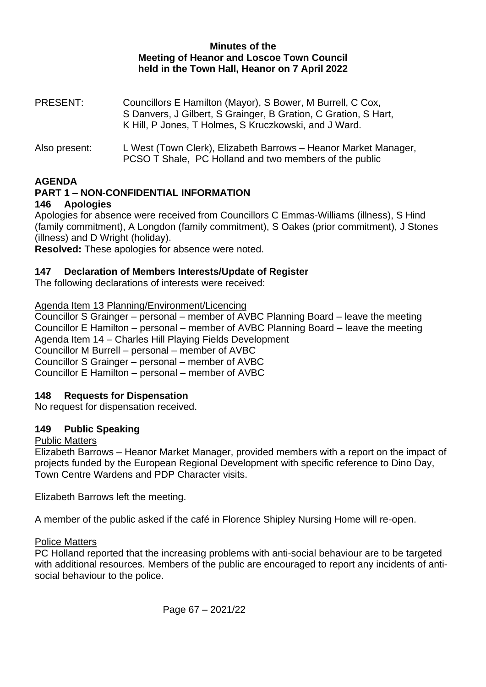### **Minutes of the Meeting of Heanor and Loscoe Town Council held in the Town Hall, Heanor on 7 April 2022**

- PRESENT: Councillors E Hamilton (Mayor), S Bower, M Burrell, C Cox, S Danvers, J Gilbert, S Grainger, B Gration, C Gration, S Hart, K Hill, P Jones, T Holmes, S Kruczkowski, and J Ward.
- Also present: L West (Town Clerk), Elizabeth Barrows Heanor Market Manager, PCSO T Shale, PC Holland and two members of the public

### **AGENDA**

#### **PART 1 – NON-CONFIDENTIAL INFORMATION 146 Apologies**

Apologies for absence were received from Councillors C Emmas-Williams (illness), S Hind (family commitment), A Longdon (family commitment), S Oakes (prior commitment), J Stones (illness) and D Wright (holiday).

**Resolved:** These apologies for absence were noted.

### **147 Declaration of Members Interests/Update of Register**

The following declarations of interests were received:

Agenda Item 13 Planning/Environment/Licencing

Councillor S Grainger – personal – member of AVBC Planning Board – leave the meeting Councillor E Hamilton – personal – member of AVBC Planning Board – leave the meeting Agenda Item 14 – Charles Hill Playing Fields Development Councillor M Burrell – personal – member of AVBC Councillor S Grainger – personal – member of AVBC Councillor E Hamilton – personal – member of AVBC

### **148 Requests for Dispensation**

No request for dispensation received.

### **149 Public Speaking**

### Public Matters

Elizabeth Barrows – Heanor Market Manager, provided members with a report on the impact of projects funded by the European Regional Development with specific reference to Dino Day, Town Centre Wardens and PDP Character visits.

Elizabeth Barrows left the meeting.

A member of the public asked if the café in Florence Shipley Nursing Home will re-open.

### Police Matters

PC Holland reported that the increasing problems with anti-social behaviour are to be targeted with additional resources. Members of the public are encouraged to report any incidents of antisocial behaviour to the police.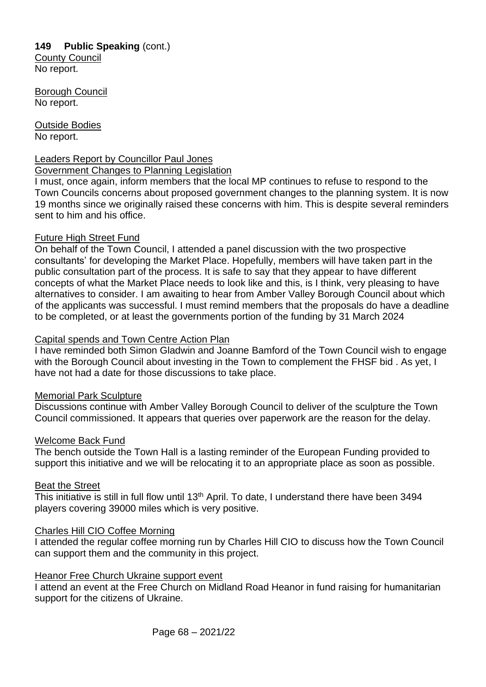# **149 Public Speaking** (cont.)

County Council No report.

Borough Council No report.

Outside Bodies No report.

### Leaders Report by Councillor Paul Jones

### Government Changes to Planning Legislation

I must, once again, inform members that the local MP continues to refuse to respond to the Town Councils concerns about proposed government changes to the planning system. It is now 19 months since we originally raised these concerns with him. This is despite several reminders sent to him and his office.

### Future High Street Fund

On behalf of the Town Council, I attended a panel discussion with the two prospective consultants' for developing the Market Place. Hopefully, members will have taken part in the public consultation part of the process. It is safe to say that they appear to have different concepts of what the Market Place needs to look like and this, is I think, very pleasing to have alternatives to consider. I am awaiting to hear from Amber Valley Borough Council about which of the applicants was successful. I must remind members that the proposals do have a deadline to be completed, or at least the governments portion of the funding by 31 March 2024

### Capital spends and Town Centre Action Plan

I have reminded both Simon Gladwin and Joanne Bamford of the Town Council wish to engage with the Borough Council about investing in the Town to complement the FHSF bid . As yet, I have not had a date for those discussions to take place.

### Memorial Park Sculpture

Discussions continue with Amber Valley Borough Council to deliver of the sculpture the Town Council commissioned. It appears that queries over paperwork are the reason for the delay.

### Welcome Back Fund

The bench outside the Town Hall is a lasting reminder of the European Funding provided to support this initiative and we will be relocating it to an appropriate place as soon as possible.

### Beat the Street

This initiative is still in full flow until 13<sup>th</sup> April. To date, I understand there have been 3494 players covering 39000 miles which is very positive.

### Charles Hill CIO Coffee Morning

I attended the regular coffee morning run by Charles Hill CIO to discuss how the Town Council can support them and the community in this project.

### Heanor Free Church Ukraine support event

I attend an event at the Free Church on Midland Road Heanor in fund raising for humanitarian support for the citizens of Ukraine.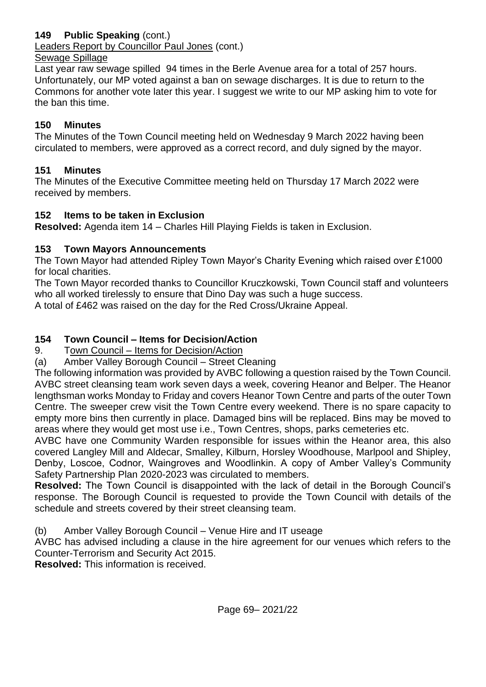## **149 Public Speaking** (cont.)

Leaders Report by Councillor Paul Jones (cont.)

### Sewage Spillage

Last year raw sewage spilled 94 times in the Berle Avenue area for a total of 257 hours. Unfortunately, our MP voted against a ban on sewage discharges. It is due to return to the Commons for another vote later this year. I suggest we write to our MP asking him to vote for the ban this time.

## **150 Minutes**

The Minutes of the Town Council meeting held on Wednesday 9 March 2022 having been circulated to members, were approved as a correct record, and duly signed by the mayor.

## **151 Minutes**

The Minutes of the Executive Committee meeting held on Thursday 17 March 2022 were received by members.

## **152 Items to be taken in Exclusion**

**Resolved:** Agenda item 14 – Charles Hill Playing Fields is taken in Exclusion.

## **153 Town Mayors Announcements**

The Town Mayor had attended Ripley Town Mayor's Charity Evening which raised over £1000 for local charities.

The Town Mayor recorded thanks to Councillor Kruczkowski, Town Council staff and volunteers who all worked tirelessly to ensure that Dino Day was such a huge success.

A total of £462 was raised on the day for the Red Cross/Ukraine Appeal.

# **154 Town Council – Items for Decision/Action**

9. Town Council – Items for Decision/Action

(a) Amber Valley Borough Council – Street Cleaning

The following information was provided by AVBC following a question raised by the Town Council. AVBC street cleansing team work seven days a week, covering Heanor and Belper. The Heanor lengthsman works Monday to Friday and covers Heanor Town Centre and parts of the outer Town Centre. The sweeper crew visit the Town Centre every weekend. There is no spare capacity to empty more bins then currently in place. Damaged bins will be replaced. Bins may be moved to areas where they would get most use i.e., Town Centres, shops, parks cemeteries etc.

AVBC have one Community Warden responsible for issues within the Heanor area, this also covered Langley Mill and Aldecar, Smalley, Kilburn, Horsley Woodhouse, Marlpool and Shipley, Denby, Loscoe, Codnor, Waingroves and Woodlinkin. A copy of Amber Valley's Community Safety Partnership Plan 2020-2023 was circulated to members.

**Resolved:** The Town Council is disappointed with the lack of detail in the Borough Council's response. The Borough Council is requested to provide the Town Council with details of the schedule and streets covered by their street cleansing team.

(b) Amber Valley Borough Council – Venue Hire and IT useage

AVBC has advised including a clause in the hire agreement for our venues which refers to the Counter-Terrorism and Security Act 2015.

**Resolved:** This information is received.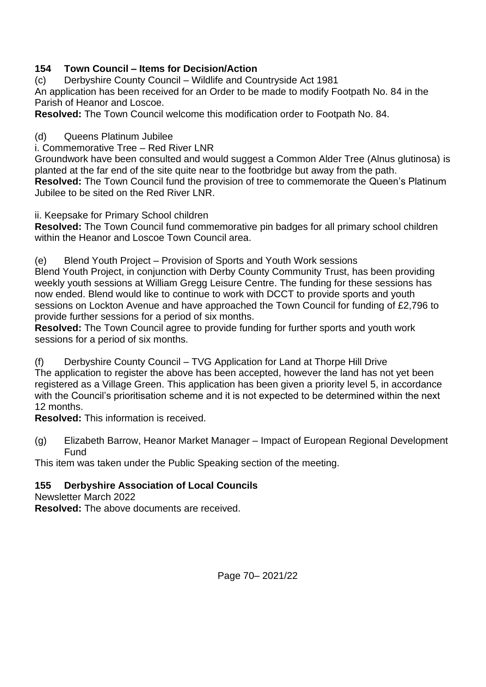## **154 Town Council – Items for Decision/Action**

(c) Derbyshire County Council – Wildlife and Countryside Act 1981 An application has been received for an Order to be made to modify Footpath No. 84 in the Parish of Heanor and Loscoe.

**Resolved:** The Town Council welcome this modification order to Footpath No. 84.

### (d) Queens Platinum Jubilee

i. Commemorative Tree – Red River LNR

Groundwork have been consulted and would suggest a Common Alder Tree (Alnus glutinosa) is planted at the far end of the site quite near to the footbridge but away from the path. **Resolved:** The Town Council fund the provision of tree to commemorate the Queen's Platinum Jubilee to be sited on the Red River LNR.

ii. Keepsake for Primary School children

**Resolved:** The Town Council fund commemorative pin badges for all primary school children within the Heanor and Loscoe Town Council area.

(e) Blend Youth Project – Provision of Sports and Youth Work sessions

Blend Youth Project, in conjunction with Derby County Community Trust, has been providing weekly youth sessions at William Gregg Leisure Centre. The funding for these sessions has now ended. Blend would like to continue to work with DCCT to provide sports and youth sessions on Lockton Avenue and have approached the Town Council for funding of £2,796 to provide further sessions for a period of six months.

**Resolved:** The Town Council agree to provide funding for further sports and youth work sessions for a period of six months.

(f) Derbyshire County Council – TVG Application for Land at Thorpe Hill Drive The application to register the above has been accepted, however the land has not yet been registered as a Village Green. This application has been given a priority level 5, in accordance with the Council's prioritisation scheme and it is not expected to be determined within the next 12 months.

**Resolved:** This information is received.

(g) Elizabeth Barrow, Heanor Market Manager – Impact of European Regional Development Fund

This item was taken under the Public Speaking section of the meeting.

## **155 Derbyshire Association of Local Councils**

Newsletter March 2022

**Resolved:** The above documents are received.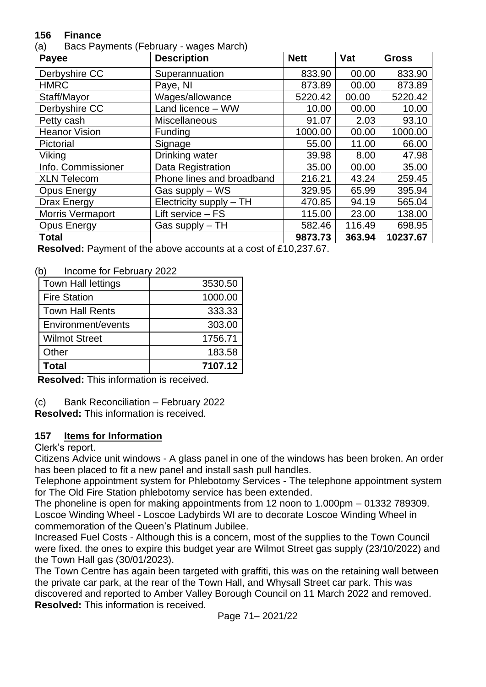### **156 Finance**

(a) Bacs Payments (February - wages March)

| Payee                | <b>Description</b>        | <b>Nett</b> | Vat    | <b>Gross</b> |
|----------------------|---------------------------|-------------|--------|--------------|
| Derbyshire CC        | Superannuation            | 833.90      | 00.00  | 833.90       |
| <b>HMRC</b>          | Paye, NI                  | 873.89      | 00.00  | 873.89       |
| Staff/Mayor          | Wages/allowance           | 5220.42     | 00.00  | 5220.42      |
| Derbyshire CC        | Land licence - WW         | 10.00       | 00.00  | 10.00        |
| Petty cash           | Miscellaneous             | 91.07       | 2.03   | 93.10        |
| <b>Heanor Vision</b> | Funding                   | 1000.00     | 00.00  | 1000.00      |
| Pictorial            | Signage                   | 55.00       | 11.00  | 66.00        |
| Viking               | Drinking water            | 39.98       | 8.00   | 47.98        |
| Info. Commissioner   | Data Registration         | 35.00       | 00.00  | 35.00        |
| <b>XLN Telecom</b>   | Phone lines and broadband | 216.21      | 43.24  | 259.45       |
| <b>Opus Energy</b>   | Gas supply – WS           | 329.95      | 65.99  | 395.94       |
| Drax Energy          | Electricity supply - TH   | 470.85      | 94.19  | 565.04       |
| Morris Vermaport     | Lift service - FS         | 115.00      | 23.00  | 138.00       |
| <b>Opus Energy</b>   | Gas supply $-TH$          | 582.46      | 116.49 | 698.95       |
| <b>Total</b>         |                           | 9873.73     | 363.94 | 10237.67     |

**Resolved:** Payment of the above accounts at a cost of £10,237.67.

(b) Income for February 2022

| <b>Town Hall lettings</b> | 3530.50 |
|---------------------------|---------|
| <b>Fire Station</b>       | 1000.00 |
| <b>Town Hall Rents</b>    | 333.33  |
| Environment/events        | 303.00  |
| <b>Wilmot Street</b>      | 1756.71 |
| Other                     | 183.58  |
| Total                     | 7107.12 |

**Resolved:** This information is received.

(c) Bank Reconciliation – February 2022

**Resolved:** This information is received.

## **157 Items for Information**

Clerk's report.

Citizens Advice unit windows - A glass panel in one of the windows has been broken. An order has been placed to fit a new panel and install sash pull handles.

Telephone appointment system for Phlebotomy Services - The telephone appointment system for The Old Fire Station phlebotomy service has been extended.

The phoneline is open for making appointments from 12 noon to 1.000pm – 01332 789309. Loscoe Winding Wheel - Loscoe Ladybirds WI are to decorate Loscoe Winding Wheel in commemoration of the Queen's Platinum Jubilee.

Increased Fuel Costs - Although this is a concern, most of the supplies to the Town Council were fixed. the ones to expire this budget year are Wilmot Street gas supply (23/10/2022) and the Town Hall gas (30/01/2023).

The Town Centre has again been targeted with graffiti, this was on the retaining wall between the private car park, at the rear of the Town Hall, and Whysall Street car park. This was discovered and reported to Amber Valley Borough Council on 11 March 2022 and removed. **Resolved:** This information is received.